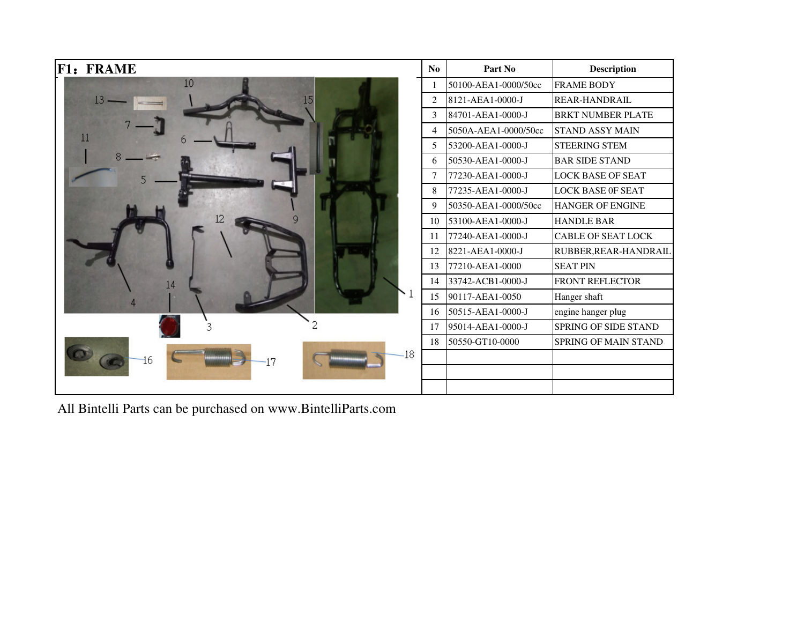| <b>F1: FRAME</b>  | N <sub>0</sub> | Part No              | <b>Description</b>          |
|-------------------|----------------|----------------------|-----------------------------|
| 10                |                | 50100-AEA1-0000/50cc | <b>FRAME BODY</b>           |
| 13 <sup>5</sup>   | 2              | 8121-AEA1-0000-J     | REAR-HANDRAIL               |
|                   | 3              | 84701-AEA1-0000-J    | <b>BRKT NUMBER PLATE</b>    |
|                   | 4              | 5050A-AEA1-0000/50cc | <b>STAND ASSY MAIN</b>      |
| 11                | 5              | 53200-AEA1-0000-J    | <b>STEERING STEM</b>        |
|                   | 6              | 50530-AEA1-0000-J    | <b>BAR SIDE STAND</b>       |
|                   |                | 77230-AEA1-0000-J    | <b>LOCK BASE OF SEAT</b>    |
|                   | 8              | 77235-AEA1-0000-J    | <b>LOCK BASE OF SEAT</b>    |
|                   | 9              | 50350-AEA1-0000/50cc | <b>HANGER OF ENGINE</b>     |
|                   | 10             | 53100-AEA1-0000-J    | <b>HANDLE BAR</b>           |
|                   | 11             | 77240-AEA1-0000-J    | <b>CABLE OF SEAT LOCK</b>   |
|                   | 12             | 8221-AEA1-0000-J     | RUBBER, REAR-HANDRAIL       |
|                   | 13             | 77210-AEA1-0000      | <b>SEAT PIN</b>             |
| 14                | 14             | 33742-ACB1-0000-J    | <b>FRONT REFLECTOR</b>      |
|                   | 15             | 90117-AEA1-0050      | Hanger shaft                |
|                   | 16             | 50515-AEA1-0000-J    | engine hanger plug          |
|                   | 17             | 95014-AEA1-0000-J    | <b>SPRING OF SIDE STAND</b> |
|                   | 18             | 50550-GT10-0000      | <b>SPRING OF MAIN STAND</b> |
| $-18$<br>16<br>17 |                |                      |                             |
|                   |                |                      |                             |
|                   |                |                      |                             |

All Bintelli Parts can be purchased on www.BintelliParts.com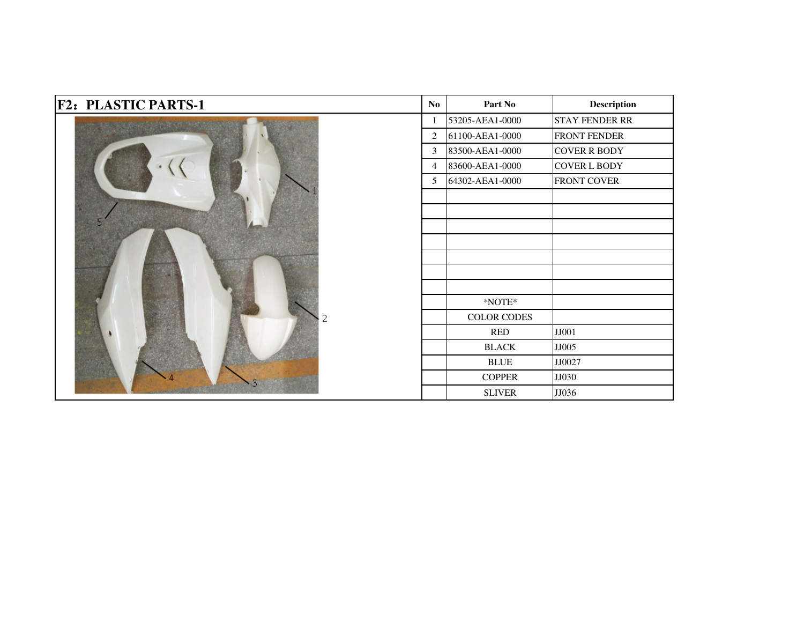| <b>F2: PLASTIC PARTS-1</b> | $\mathbf{N}\mathbf{o}$ | Part No                | <b>Description</b>    |
|----------------------------|------------------------|------------------------|-----------------------|
|                            | $\mathbf{1}$           | 53205-AEA1-0000        | <b>STAY FENDER RR</b> |
|                            | 2                      | 61100-AEA1-0000        | FRONT FENDER          |
|                            | 3                      | 83500-AEA1-0000        | <b>COVER R BODY</b>   |
|                            | $\overline{4}$         | 83600-AEA1-0000        | <b>COVER L BODY</b>   |
|                            | 5                      | 64302-AEA1-0000        | <b>FRONT COVER</b>    |
|                            |                        |                        |                       |
|                            |                        |                        |                       |
|                            |                        |                        |                       |
|                            |                        |                        |                       |
|                            |                        |                        |                       |
|                            |                        |                        |                       |
|                            |                        |                        |                       |
|                            |                        | $^*\! \mathbf{NOTE}^*$ |                       |
| 2                          |                        | COLOR CODES            |                       |
|                            |                        | <b>RED</b>             | JJ001                 |
|                            |                        | <b>BLACK</b>           | JJ005                 |
|                            |                        | <b>BLUE</b>            | JJ0027                |
| 3                          |                        | <b>COPPER</b>          | JJ030                 |
|                            |                        | <b>SLIVER</b>          | JJ036                 |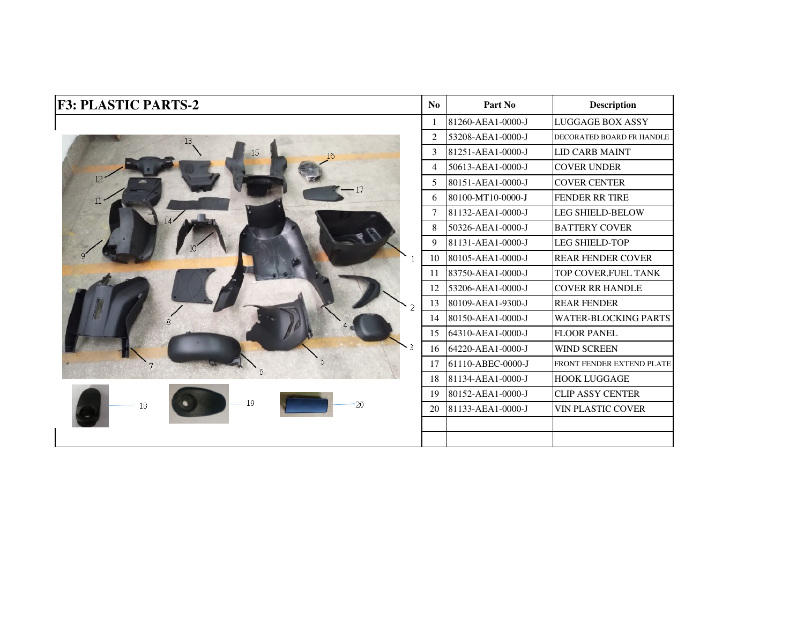| <b>F3: PLASTIC PARTS-2</b> | N <sub>0</sub> | Part No           | <b>Description</b>          |
|----------------------------|----------------|-------------------|-----------------------------|
|                            |                | 81260-AEA1-0000-J | <b>LUGGAGE BOX ASSY</b>     |
| 13                         | 2              | 53208-AEA1-0000-J | DECORATED BOARD FR HANDLE   |
| 15                         | 3              | 81251-AEA1-0000-J | <b>LID CARB MAINT</b>       |
|                            | $\overline{4}$ | 50613-AEA1-0000-J | <b>COVER UNDER</b>          |
| 12 <sup>7</sup>            | 5              | 80151-AEA1-0000-J | <b>COVER CENTER</b>         |
| 11<                        | 6              | 80100-MT10-0000-J | <b>FENDER RR TIRE</b>       |
|                            | 7              | 81132-AEA1-0000-J | <b>LEG SHIELD-BELOW</b>     |
|                            | 8              | 50326-AEA1-0000-J | <b>BATTERY COVER</b>        |
|                            | 9              | 81131-AEA1-0000-J | <b>LEG SHIELD-TOP</b>       |
|                            | 10             | 80105-AEA1-0000-J | <b>REAR FENDER COVER</b>    |
|                            | 11             | 83750-AEA1-0000-J | TOP COVER, FUEL TANK        |
|                            | 12             | 53206-AEA1-0000-J | <b>COVER RR HANDLE</b>      |
|                            | 13             | 80109-AEA1-9300-J | <b>REAR FENDER</b>          |
|                            | 14             | 80150-AEA1-0000-J | <b>WATER-BLOCKING PARTS</b> |
|                            | 15             | 64310-AEA1-0000-J | <b>FLOOR PANEL</b>          |
|                            | 16             | 64220-AEA1-0000-J | <b>WIND SCREEN</b>          |
|                            | 17             | 61110-ABEC-0000-J | FRONT FENDER EXTEND PLATE   |
|                            | 18             | 81134-AEA1-0000-J | <b>HOOK LUGGAGE</b>         |
|                            | 19             | 80152-AEA1-0000-J | <b>CLIP ASSY CENTER</b>     |
| 19<br>20<br>18             | 20             | 81133-AEA1-0000-J | <b>VIN PLASTIC COVER</b>    |
|                            |                |                   |                             |
|                            |                |                   |                             |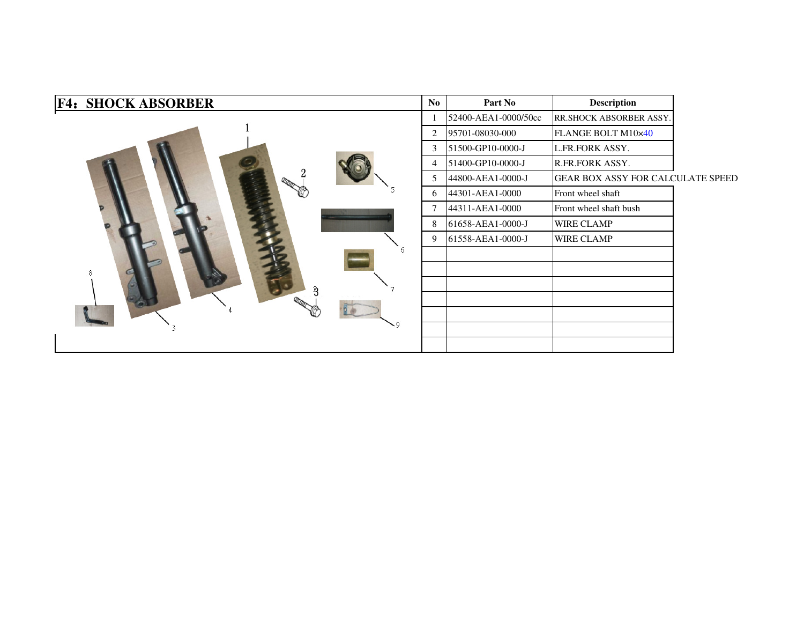| <b>F4: SHOCK ABSORBER</b> | No. | Part No              | <b>Description</b>                |  |
|---------------------------|-----|----------------------|-----------------------------------|--|
|                           |     | 52400-AEA1-0000/50cc | RR.SHOCK ABSORBER ASSY.           |  |
|                           | 2   | 95701-08030-000      | FLANGE BOLT M10×40                |  |
|                           | 3   | 51500-GP10-0000-J    | L.FR.FORK ASSY.                   |  |
|                           | 4   | 51400-GP10-0000-J    | R.FR.FORK ASSY.                   |  |
|                           | 5   | 44800-AEA1-0000-J    | GEAR BOX ASSY FOR CALCULATE SPEED |  |
|                           | 6   | 44301-AEA1-0000      | Front wheel shaft                 |  |
|                           | 7   | 44311-AEA1-0000      | Front wheel shaft bush            |  |
|                           | 8   | 61658-AEA1-0000-J    | <b>WIRE CLAMP</b>                 |  |
|                           | 9   | 61558-AEA1-0000-J    | <b>WIRE CLAMP</b>                 |  |
| 6                         |     |                      |                                   |  |
| 8                         |     |                      |                                   |  |
|                           |     |                      |                                   |  |
|                           |     |                      |                                   |  |
|                           |     |                      |                                   |  |
| ۰q                        |     |                      |                                   |  |
|                           |     |                      |                                   |  |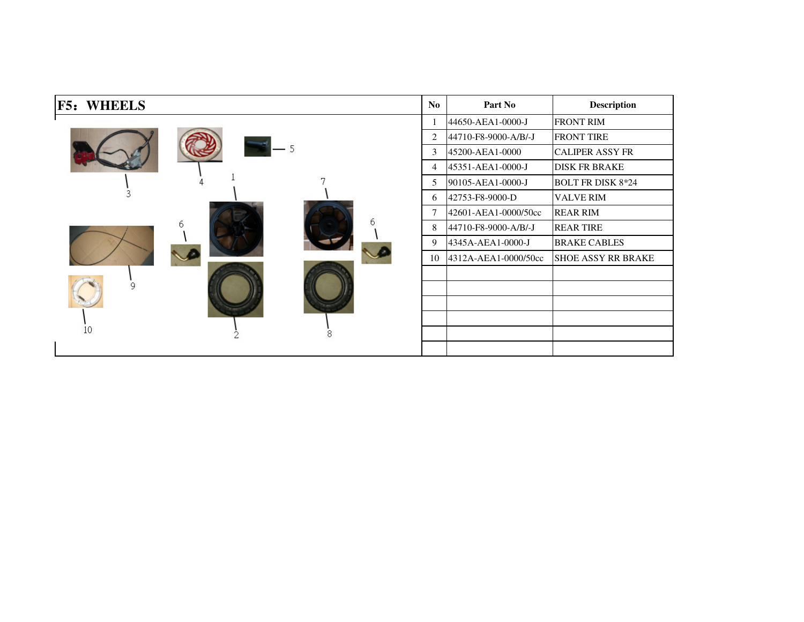| F5:<br><b>WHEELS</b> |   |   | N <sub>0</sub> | Part No              | <b>Description</b>        |
|----------------------|---|---|----------------|----------------------|---------------------------|
|                      |   |   |                | 44650-AEA1-0000-J    | <b>FRONT RIM</b>          |
|                      |   |   | 2              | 44710-F8-9000-A/B/-J | <b>FRONT TIRE</b>         |
|                      |   |   | 3              | 45200-AEA1-0000      | <b>CALIPER ASSY FR</b>    |
|                      |   |   | 4              | 45351-AEA1-0000-J    | <b>DISK FR BRAKE</b>      |
|                      |   |   | 5              | 90105-AEA1-0000-J    | <b>BOLT FR DISK 8*24</b>  |
|                      |   |   | 6              | 42753-F8-9000-D      | <b>VALVE RIM</b>          |
|                      |   |   |                | 42601-AEA1-0000/50cc | <b>REAR RIM</b>           |
|                      | 6 |   | 8              | 44710-F8-9000-A/B/-J | <b>REAR TIRE</b>          |
|                      |   |   | 9              | 4345A-AEA1-0000-J    | <b>BRAKE CABLES</b>       |
|                      |   |   | 10             | 4312A-AEA1-0000/50cc | <b>SHOE ASSY RR BRAKE</b> |
|                      |   |   |                |                      |                           |
| q                    |   |   |                |                      |                           |
|                      |   |   |                |                      |                           |
|                      |   |   |                |                      |                           |
| 10                   |   | 8 |                |                      |                           |
|                      |   |   |                |                      |                           |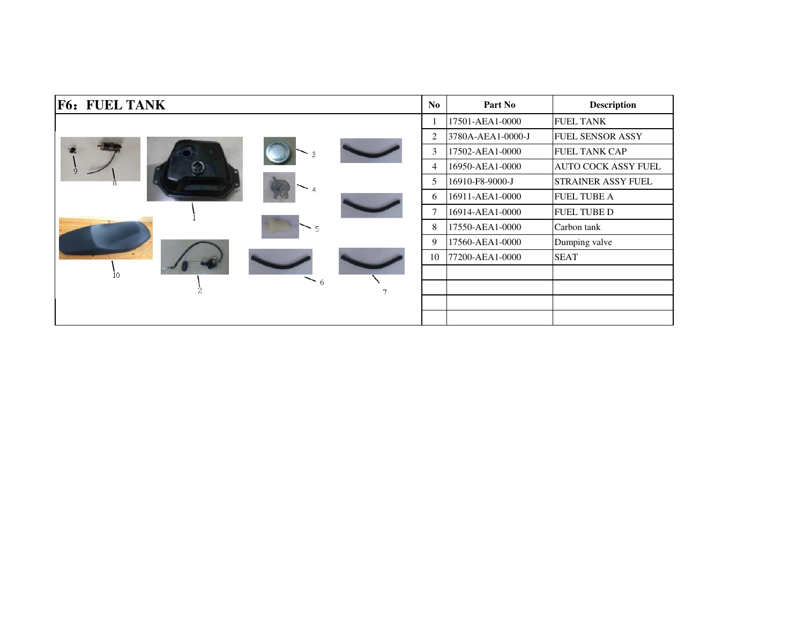| <b>F6: FUEL TANK</b> | N <sub>o</sub> | Part No           | <b>Description</b>      |
|----------------------|----------------|-------------------|-------------------------|
|                      |                | 17501-AEA1-0000   | <b>FUEL TANK</b>        |
|                      | 2              | 3780A-AEA1-0000-J | <b>FUEL SENSOR ASSY</b> |
|                      | $\mathfrak{Z}$ | 17502-AEA1-0000   | <b>FUEL TANK CAP</b>    |
| q                    | 4              | 16950-AEA1-0000   | AUTO COCK ASSY FUEL     |
|                      | 5              | 16910-F8-9000-J   | STRAINER ASSY FUEL      |
|                      | 6              | 16911-AEA1-0000   | <b>FUEL TUBE A</b>      |
|                      | $\tau$         | 16914-AEA1-0000   | <b>FUEL TUBE D</b>      |
|                      | 8              | 17550-AEA1-0000   | Carbon tank             |
|                      | 9              | 17560-AEA1-0000   | Dumping valve           |
|                      | 10             | 77200-AEA1-0000   | <b>SEAT</b>             |
| İ0.                  |                |                   |                         |
| $\sim$ 6<br>7        |                |                   |                         |
|                      |                |                   |                         |
|                      |                |                   |                         |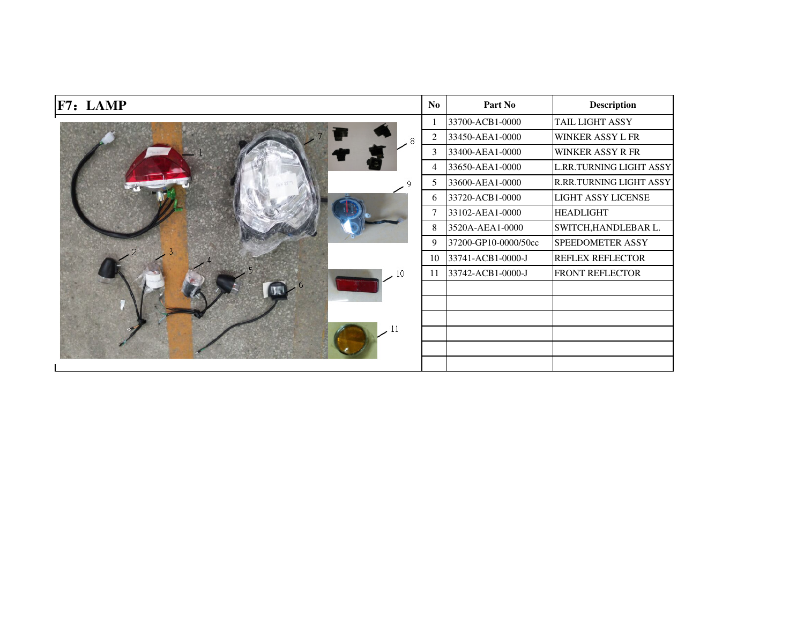| F7: LAMP | No             | Part No              | <b>Description</b>        |
|----------|----------------|----------------------|---------------------------|
|          |                | 33700-ACB1-0000      | TAIL LIGHT ASSY           |
| 8        | $\overline{2}$ | 33450-AEA1-0000      | <b>WINKER ASSY L FR</b>   |
|          | 3              | 33400-AEA1-0000      | <b>WINKER ASSY R FR</b>   |
|          | $\overline{4}$ | 33650-AEA1-0000      | L.RR.TURNING LIGHT ASSY   |
|          | 5              | 33600-AEA1-0000      | R.RR.TURNING LIGHT ASSY   |
|          | 6              | 33720-ACB1-0000      | <b>LIGHT ASSY LICENSE</b> |
|          | 7              | 33102-AEA1-0000      | <b>HEADLIGHT</b>          |
|          | 8              | 3520A-AEA1-0000      | SWITCH, HANDLEBAR L.      |
|          | 9              | 37200-GP10-0000/50cc | SPEEDOMETER ASSY          |
|          | 10             | 33741-ACB1-0000-J    | <b>REFLEX REFLECTOR</b>   |
| 10       | 11             | 33742-ACB1-0000-J    | FRONT REFLECTOR           |
|          |                |                      |                           |
|          |                |                      |                           |
|          |                |                      |                           |
|          |                |                      |                           |
|          |                |                      |                           |
|          |                |                      |                           |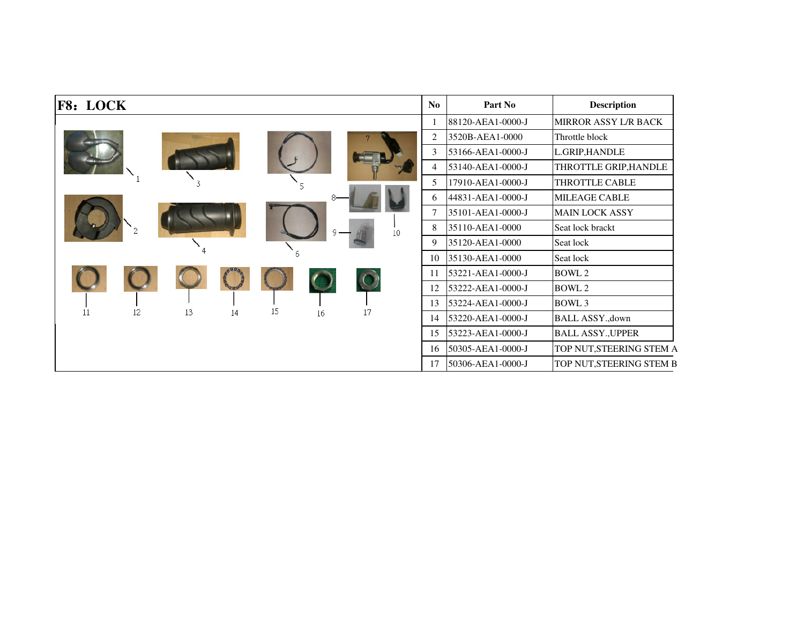| F8: LOCK                         | No             | Part No           | <b>Description</b>          |
|----------------------------------|----------------|-------------------|-----------------------------|
|                                  |                | 88120-AEA1-0000-J | <b>MIRROR ASSY L/R BACK</b> |
|                                  | $\overline{2}$ | 3520B-AEA1-0000   | Throttle block              |
|                                  | 3              | 53166-AEA1-0000-J | L.GRIP, HANDLE              |
|                                  | 4              | 53140-AEA1-0000-J | THROTTLE GRIP, HANDLE       |
|                                  | 5              | 17910-AEA1-0000-J | THROTTLE CABLE              |
|                                  | 6              | 44831-AEA1-0000-J | <b>MILEAGE CABLE</b>        |
|                                  |                | 35101-AEA1-0000-J | <b>MAIN LOCK ASSY</b>       |
| 10                               | 8              | 35110-AEA1-0000   | Seat lock brackt            |
|                                  | 9              | 35120-AEA1-0000   | Seat lock                   |
|                                  | 10             | 35130-AEA1-0000   | Seat lock                   |
|                                  | 11             | 53221-AEA1-0000-J | BOWL 2                      |
|                                  | 12             | 53222-AEA1-0000-J | BOWL 2                      |
| 15                               | 13             | 53224-AEA1-0000-J | <b>BOWL 3</b>               |
| 12<br>13<br>11<br>17<br>14<br>16 | 14             | 53220-AEA1-0000-J | BALL ASSY., down            |
|                                  | 15             | 53223-AEA1-0000-J | <b>BALL ASSY., UPPER</b>    |
|                                  | 16             | 50305-AEA1-0000-J | TOP NUT, STEERING STEM A    |
|                                  | 17             | 50306-AEA1-0000-J | TOP NUT, STEERING STEM B    |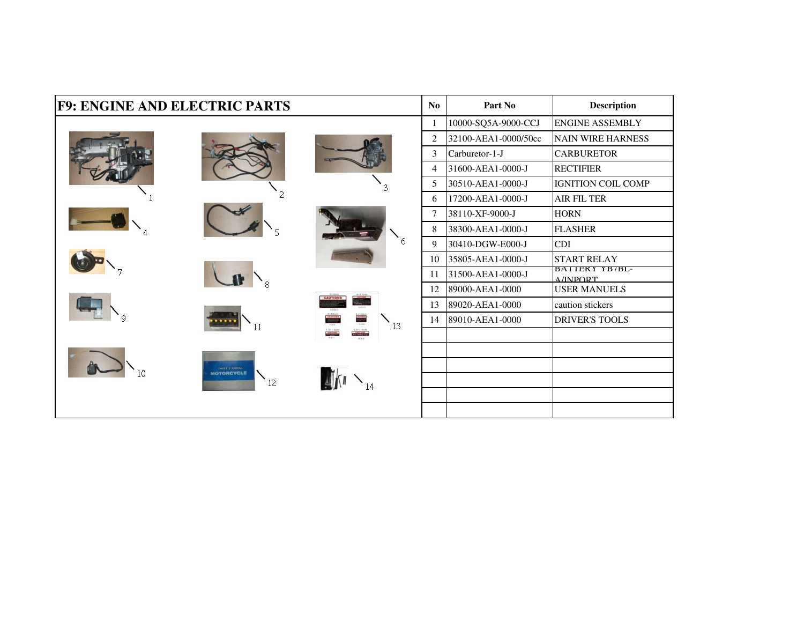| <b>F9: ENGINE AND ELECTRIC PARTS</b> |                            |                 | No             | Part No              | <b>Description</b>                |
|--------------------------------------|----------------------------|-----------------|----------------|----------------------|-----------------------------------|
|                                      |                            |                 | 1              | 10000-SQ5A-9000-CCJ  | <b>ENGINE ASSEMBLY</b>            |
|                                      |                            |                 | $\overline{2}$ | 32100-AEA1-0000/50cc | <b>NAIN WIRE HARNESS</b>          |
|                                      |                            |                 | 3              | Carburetor-1-J       | <b>CARBURETOR</b>                 |
|                                      |                            |                 | $\overline{4}$ | 31600-AEA1-0000-J    | <b>RECTIFIER</b>                  |
|                                      |                            |                 | 5              | 30510-AEA1-0000-J    | <b>IGNITION COIL COMP</b>         |
|                                      |                            |                 | 6              | 17200-AEA1-0000-J    | <b>AIR FIL TER</b>                |
|                                      |                            |                 | $\overline{7}$ | 38110-XF-9000-J      | <b>HORN</b>                       |
|                                      |                            |                 | 8              | 38300-AEA1-0000-J    | <b>FLASHER</b>                    |
|                                      |                            | 6               | 9              | 30410-DGW-E000-J     | <b>CDI</b>                        |
|                                      |                            |                 | 10             | 35805-AEA1-0000-J    | <b>START RELAY</b>                |
|                                      |                            |                 | 11             | 31500-AEA1-0000-J    | BATTERY YB/BL-<br><b>A/INDORT</b> |
|                                      |                            |                 | 12             | 89000-AEA1-0000      | <b>USER MANUELS</b>               |
|                                      |                            | <b>CAUTIONS</b> | 13             | 89020-AEA1-0000      | caution stickers                  |
|                                      |                            | 13              | 14             | 89010-AEA1-0000      | <b>DRIVER'S TOOLS</b>             |
|                                      |                            |                 |                |                      |                                   |
|                                      |                            |                 |                |                      |                                   |
|                                      | <b>ONES &amp; SUPERIAL</b> |                 |                |                      |                                   |
|                                      | 12                         | 14              |                |                      |                                   |
|                                      |                            |                 |                |                      |                                   |
|                                      |                            |                 |                |                      |                                   |